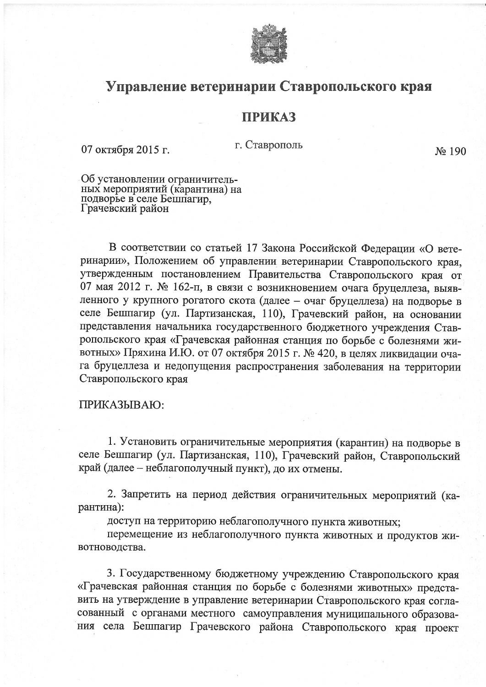

## Управление ветеринарии Ставропольского края

## **ПРИКАЗ**

г. Ставрополь

No 190

Об установлении ограничитель-<br>ных мероприятий (карантина) на<br>подворье в селе Бешпагир,<br>Грачевский район

07 октября 2015 г.

В соответствии со статьей 17 Закона Российской Федерации «О ветеринарии», Положением об управлении ветеринарии Ставропольского края, утвержденным постановлением Правительства Ставропольского края от 07 мая 2012 г. № 162-п, в связи с возникновением очага бруцеллеза, выявленного у крупного рогатого скота (далее - очаг бруцеллеза) на подворье в селе Бешпагир (ул. Партизанская, 110), Грачевский район, на основании представления начальника государственного бюджетного учреждения Ставропольского края «Грачевская районная станция по борьбе с болезнями животных» Пряхина И.Ю. от 07 октября 2015 г. № 420, в целях ликвидации очага бруцеллеза и недопущения распространения заболевания на территории Ставропольского края

## ПРИКАЗЫВАЮ:

1. Установить ограничительные мероприятия (карантин) на подворье в селе Бешпагир (ул. Партизанская, 110), Грачевский район, Ставропольский край (далее – неблагополучный пункт), до их отмены.

2. Запретить на период действия ограничительных мероприятий (карантина):

доступ на территорию неблагополучного пункта животных;

перемещение из неблагополучного пункта животных и продуктов животноводства.

3. Государственному бюджетному учреждению Ставропольского края «Грачевская районная станция по борьбе с болезнями животных» представить на утверждение в управление ветеринарии Ставропольского края согласованный с органами местного самоуправления муниципального образования села Бешпагир Грачевского района Ставропольского края проект